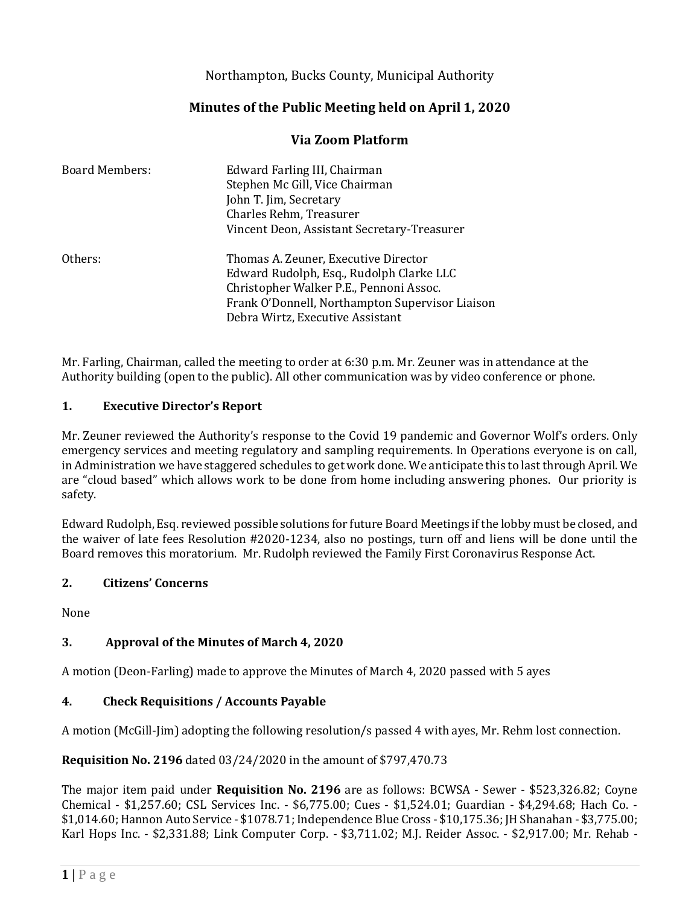# Northampton, Bucks County, Municipal Authority

# **Minutes of the Public Meeting held on April 1, 2020**

## **Via Zoom Platform**

| <b>Board Members:</b> | Edward Farling III, Chairman                    |
|-----------------------|-------------------------------------------------|
|                       | Stephen Mc Gill, Vice Chairman                  |
|                       | John T. Jim, Secretary                          |
|                       | Charles Rehm, Treasurer                         |
|                       | Vincent Deon, Assistant Secretary-Treasurer     |
| Others:               | Thomas A. Zeuner, Executive Director            |
|                       | Edward Rudolph, Esq., Rudolph Clarke LLC        |
|                       | Christopher Walker P.E., Pennoni Assoc.         |
|                       | Frank O'Donnell, Northampton Supervisor Liaison |
|                       | Debra Wirtz, Executive Assistant                |

Mr. Farling, Chairman, called the meeting to order at 6:30 p.m. Mr. Zeuner was in attendance at the Authority building (open to the public). All other communication was by video conference or phone.

## **1. Executive Director's Report**

Mr. Zeuner reviewed the Authority's response to the Covid 19 pandemic and Governor Wolf's orders. Only emergency services and meeting regulatory and sampling requirements. In Operations everyone is on call, in Administration we have staggered schedules to get work done. We anticipate this to last through April. We are "cloud based" which allows work to be done from home including answering phones. Our priority is safety.

Edward Rudolph, Esq. reviewed possible solutions for future Board Meetings if the lobby must be closed, and the waiver of late fees Resolution #2020-1234, also no postings, turn off and liens will be done until the Board removes this moratorium. Mr. Rudolph reviewed the Family First Coronavirus Response Act.

### **2. Citizens' Concerns**

None

## **3. Approval of the Minutes of March 4, 2020**

A motion (Deon-Farling) made to approve the Minutes of March 4, 2020 passed with 5 ayes

## **4. Check Requisitions / Accounts Payable**

A motion (McGill-Jim) adopting the following resolution/s passed 4 with ayes, Mr. Rehm lost connection.

## **Requisition No. 2196** dated 03/24/2020 in the amount of \$797,470.73

The major item paid under **Requisition No. 2196** are as follows: BCWSA - Sewer - \$523,326.82; Coyne Chemical - \$1,257.60; CSL Services Inc. - \$6,775.00; Cues - \$1,524.01; Guardian - \$4,294.68; Hach Co. - \$1,014.60; Hannon Auto Service - \$1078.71; Independence Blue Cross - \$10,175.36; JH Shanahan - \$3,775.00; Karl Hops Inc. - \$2,331.88; Link Computer Corp. - \$3,711.02; M.J. Reider Assoc. - \$2,917.00; Mr. Rehab -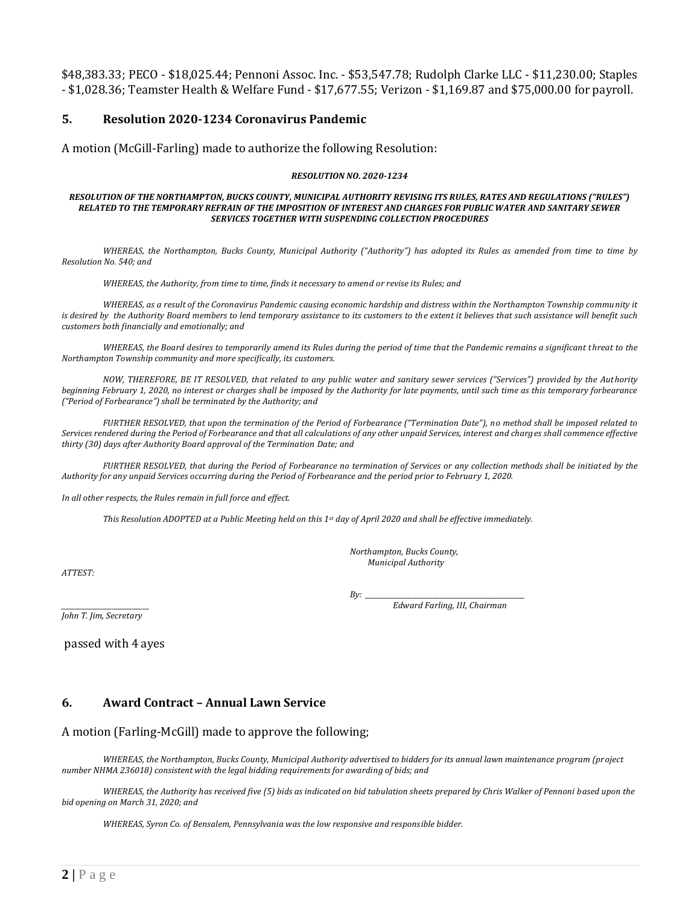\$48,383.33; PECO - \$18,025.44; Pennoni Assoc. Inc. - \$53,547.78; Rudolph Clarke LLC - \$11,230.00; Staples - \$1,028.36; Teamster Health & Welfare Fund - \$17,677.55; Verizon - \$1,169.87 and \$75,000.00 for payroll.

### **5. Resolution 2020-1234 Coronavirus Pandemic**

A motion (McGill-Farling) made to authorize the following Resolution:

#### *RESOLUTION NO. 2020-1234*

#### *RESOLUTION OF THE NORTHAMPTON, BUCKS COUNTY, MUNICIPAL AUTHORITY REVISING ITS RULES, RATES AND REGULATIONS ("RULES") RELATED TO THE TEMPORARY REFRAIN OF THE IMPOSITION OF INTEREST AND CHARGES FOR PUBLIC WATER AND SANITARY SEWER SERVICES TOGETHER WITH SUSPENDING COLLECTION PROCEDURES*

*WHEREAS, the Northampton, Bucks County, Municipal Authority ("Authority") has adopted its Rules as amended from time to time by Resolution No. 540; and*

*WHEREAS, the Authority, from time to time, finds it necessary to amend or revise its Rules; and*

WHEREAS, as a result of the Coronavirus Pandemic causing economic hardship and distress within the Northampton Township community it *is desired by the Authority Board members to lend temporary assistance to its customers to the extent it believes that such assistance will benefit such customers both financially and emotionally; and*

WHEREAS, the Board desires to temporarily amend its Rules during the period of time that the Pandemic remains a significant threat to the *Northampton Township community and more specifically, its customers.*

*NOW, THEREFORE, BE IT RESOLVED, that related to any public water and sanitary sewer services ("Services") provided by the Authority beginning February 1, 2020, no interest or charges shall be imposed by the Authority for late payments, until such time as this temporary forbearance ("Period of Forbearance") shall be terminated by the Authority; and*

*FURTHER RESOLVED, that upon the termination of the Period of Forbearance ("Termination Date"), no method shall be imposed related to Services rendered during the Period of Forbearance and that all calculations of any other unpaid Services, interest and charges shall commence effective thirty (30) days after Authority Board approval of the Termination Date; and*

*FURTHER RESOLVED, that during the Period of Forbearance no termination of Services or any collection methods shall be initiated by the Authority for any unpaid Services occurring during the Period of Forbearance and the period prior to February 1, 2020.*

*In all other respects, the Rules remain in full force and effect.*

*This Resolution ADOPTED at a Public Meeting held on this 1st day of April 2020 and shall be effective immediately.* 

*Northampton, Bucks County, Municipal Authority*

*ATTEST:*

*By: \_\_\_\_\_\_\_\_\_\_\_\_\_\_\_\_\_\_\_\_\_\_\_\_\_\_\_\_\_\_\_\_\_\_\_\_\_\_\_\_\_\_\_\_\_\_\_*

*\_\_\_\_\_\_\_\_\_\_\_\_\_\_\_\_\_\_\_\_\_\_\_\_\_\_ Edward Farling, III, Chairman*

*John T. Jim, Secretary*

passed with 4 ayes

### **6. Award Contract – Annual Lawn Service**

#### A motion (Farling-McGill) made to approve the following;

*WHEREAS, the Northampton, Bucks County, Municipal Authority advertised to bidders for its annual lawn maintenance program (project number NHMA 236018) consistent with the legal bidding requirements for awarding of bids; and*

*WHEREAS, the Authority has received five (5) bids as indicated on bid tabulation sheets prepared by Chris Walker of Pennoni based upon the bid opening on March 31, 2020; and* 

*WHEREAS, Syron Co. of Bensalem, Pennsylvania was the low responsive and responsible bidder.*